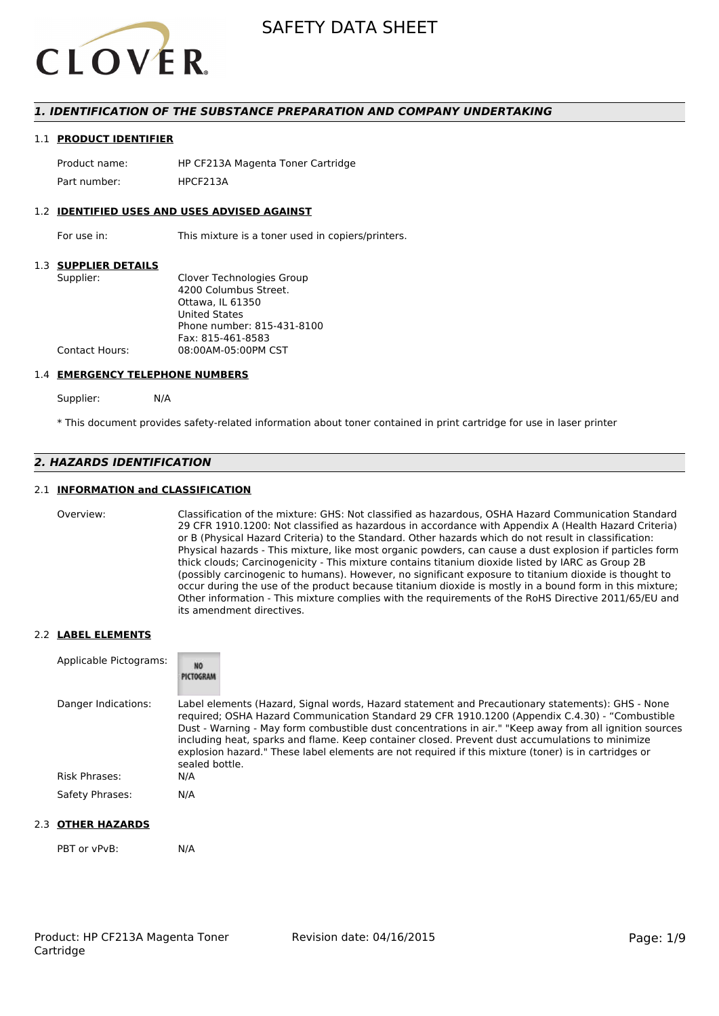

## *1. IDENTIFICATION OF THE SUBSTANCE PREPARATION AND COMPANY UNDERTAKING*

#### 1.1 **PRODUCT IDENTIFIER**

Product name: HP CF213A Magenta Toner Cartridge Part number: HPCF2134

#### 1.2 **IDENTIFIED USES AND USES ADVISED AGAINST**

For use in: This mixture is a toner used in copiers/printers.

#### 1.3 **SUPPLIER DETAILS**

| Supplier:             | Clover Technologies Group  |
|-----------------------|----------------------------|
|                       | 4200 Columbus Street.      |
|                       | Ottawa. IL 61350           |
|                       | <b>United States</b>       |
|                       | Phone number: 815-431-8100 |
|                       | Fax: 815-461-8583          |
| <b>Contact Hours:</b> | 08:00AM-05:00PM CST        |
|                       |                            |

#### 1.4 **EMERGENCY TELEPHONE NUMBERS**

Supplier: N/A

\* This document provides safety-related information about toner contained in print cartridge for use in laser printer

## *2. HAZARDS IDENTIFICATION*

### 2.1 **INFORMATION and CLASSIFICATION**

Overview: Classification of the mixture: GHS: Not classified as hazardous, OSHA Hazard Communication Standard 29 CFR 1910.1200: Not classified as hazardous in accordance with Appendix A (Health Hazard Criteria) or B (Physical Hazard Criteria) to the Standard. Other hazards which do not result in classification: Physical hazards - This mixture, like most organic powders, can cause a dust explosion if particles form thick clouds; Carcinogenicity - This mixture contains titanium dioxide listed by IARC as Group 2B (possibly carcinogenic to humans). However, no significant exposure to titanium dioxide is thought to occur during the use of the product because titanium dioxide is mostly in a bound form in this mixture; Other information - This mixture complies with the requirements of the RoHS Directive 2011/65/EU and its amendment directives.

#### 2.2 **LABEL ELEMENTS**

| Applicable Pictograms: | <b>NO</b><br>PICTOGRAM                                                                                                                                                                                                                                                                                                                                                                                                                                                                                                                     |
|------------------------|--------------------------------------------------------------------------------------------------------------------------------------------------------------------------------------------------------------------------------------------------------------------------------------------------------------------------------------------------------------------------------------------------------------------------------------------------------------------------------------------------------------------------------------------|
| Danger Indications:    | Label elements (Hazard, Signal words, Hazard statement and Precautionary statements): GHS - None<br>required; OSHA Hazard Communication Standard 29 CFR 1910.1200 (Appendix C.4.30) - "Combustible<br>Dust - Warning - May form combustible dust concentrations in air." "Keep away from all ignition sources<br>including heat, sparks and flame. Keep container closed. Prevent dust accumulations to minimize<br>explosion hazard." These label elements are not required if this mixture (toner) is in cartridges or<br>sealed bottle. |
| Risk Phrases:          | N/A                                                                                                                                                                                                                                                                                                                                                                                                                                                                                                                                        |
| Safety Phrases:        | N/A                                                                                                                                                                                                                                                                                                                                                                                                                                                                                                                                        |

### 2.3 **OTHER HAZARDS**

PBT or vPvB: N/A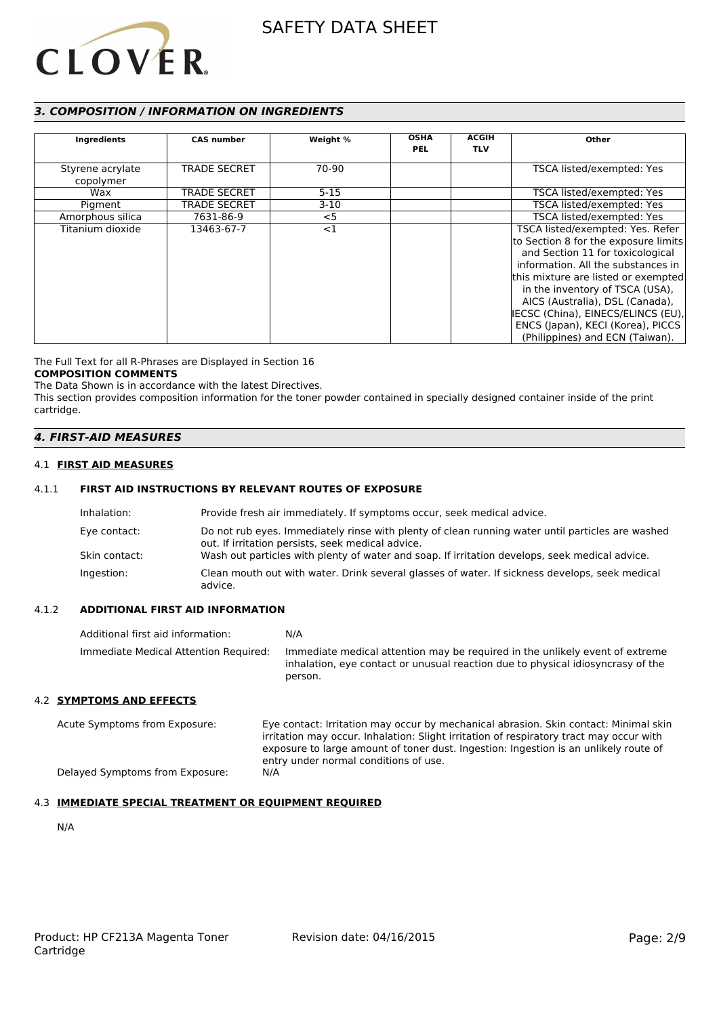

# *3. COMPOSITION / INFORMATION ON INGREDIENTS*

| <b>Ingredients</b>            | <b>CAS number</b>   | Weight % | <b>OSHA</b><br><b>PEL</b> | <b>ACGIH</b><br><b>TLV</b> | Other                                                                                                                                                                                                                                                                                                                                                                         |
|-------------------------------|---------------------|----------|---------------------------|----------------------------|-------------------------------------------------------------------------------------------------------------------------------------------------------------------------------------------------------------------------------------------------------------------------------------------------------------------------------------------------------------------------------|
| Styrene acrylate<br>copolymer | <b>TRADE SECRET</b> | 70-90    |                           |                            | TSCA listed/exempted: Yes                                                                                                                                                                                                                                                                                                                                                     |
| Wax                           | <b>TRADE SECRET</b> | $5 - 15$ |                           |                            | TSCA listed/exempted: Yes                                                                                                                                                                                                                                                                                                                                                     |
| Pigment                       | <b>TRADE SECRET</b> | $3-10$   |                           |                            | TSCA listed/exempted: Yes                                                                                                                                                                                                                                                                                                                                                     |
| Amorphous silica              | 7631-86-9           | $<$ 5    |                           |                            | TSCA listed/exempted: Yes                                                                                                                                                                                                                                                                                                                                                     |
| Titanium dioxide              | 13463-67-7          | $<$ 1    |                           |                            | TSCA listed/exempted: Yes. Refer<br>to Section 8 for the exposure limits<br>and Section 11 for toxicological<br>information. All the substances in<br>this mixture are listed or exempted<br>in the inventory of TSCA (USA),<br>AICS (Australia), DSL (Canada),<br>IECSC (China), EINECS/ELINCS (EU),<br>ENCS (Japan), KECI (Korea), PICCS<br>(Philippines) and ECN (Taiwan). |

The Full Text for all R-Phrases are Displayed in Section 16

### **COMPOSITION COMMENTS**

The Data Shown is in accordance with the latest Directives. This section provides composition information for the toner powder contained in specially designed container inside of the print cartridge.

### *4. FIRST-AID MEASURES*

#### 4.1 **FIRST AID MEASURES**

### 4.1.1 **FIRST AID INSTRUCTIONS BY RELEVANT ROUTES OF EXPOSURE**

| Inhalation:   | Provide fresh air immediately. If symptoms occur, seek medical advice.                                                                                |
|---------------|-------------------------------------------------------------------------------------------------------------------------------------------------------|
| Eye contact:  | Do not rub eyes. Immediately rinse with plenty of clean running water until particles are washed<br>out. If irritation persists, seek medical advice. |
| Skin contact: | Wash out particles with plenty of water and soap. If irritation develops, seek medical advice.                                                        |
| Ingestion:    | Clean mouth out with water. Drink several glasses of water. If sickness develops, seek medical<br>advice.                                             |

#### 4.1.2 **ADDITIONAL FIRST AID INFORMATION**

| Additional first aid information:     | N/A                                                                                                                                                                        |
|---------------------------------------|----------------------------------------------------------------------------------------------------------------------------------------------------------------------------|
| Immediate Medical Attention Required: | Immediate medical attention may be required in the unlikely event of extreme<br>inhalation, eye contact or unusual reaction due to physical idiosyncrasy of the<br>person. |

#### 4.2 **SYMPTOMS AND EFFECTS**

Acute Symptoms from Exposure: Eye contact: Irritation may occur by mechanical abrasion. Skin contact: Minimal skin irritation may occur. Inhalation: Slight irritation of respiratory tract may occur with exposure to large amount of toner dust. Ingestion: Ingestion is an unlikely route of entry under normal conditions of use. Delayed Symptoms from Exposure: N/A

### 4.3 **IMMEDIATE SPECIAL TREATMENT OR EQUIPMENT REQUIRED**

N/A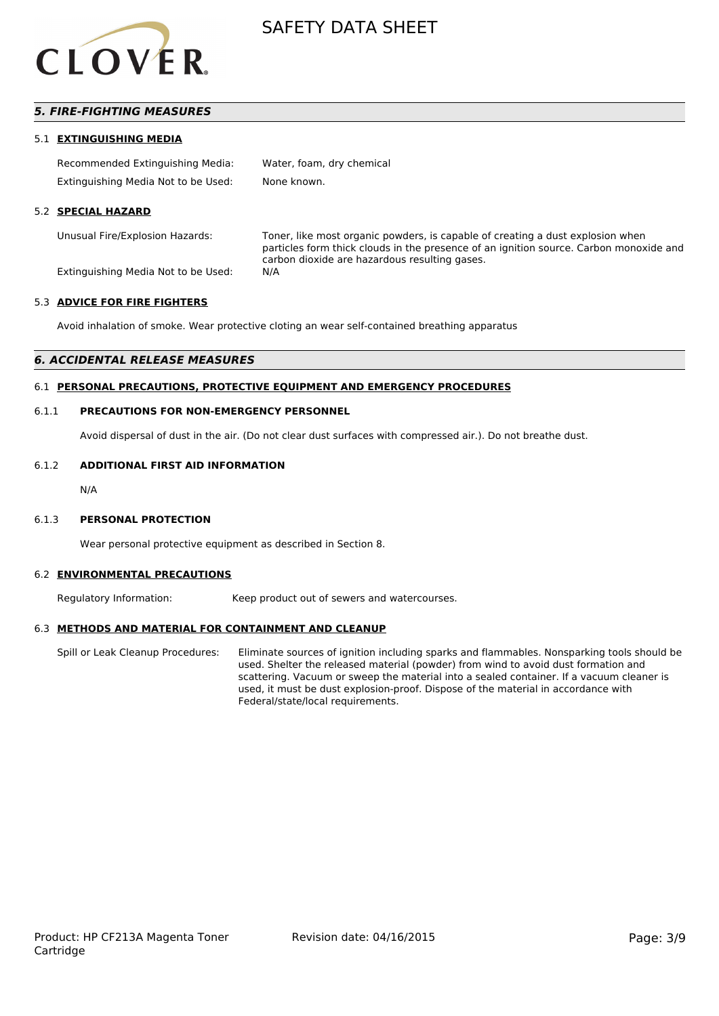

# *5. FIRE-FIGHTING MEASURES*

#### 5.1 **EXTINGUISHING MEDIA**

| Recommended Extinguishing Media:    | Water, foam, dry chemical |
|-------------------------------------|---------------------------|
| Extinguishing Media Not to be Used: | None known.               |

#### 5.2 **SPECIAL HAZARD**

Unusual Fire/Explosion Hazards: Toner, like most organic powders, is capable of creating a dust explosion when particles form thick clouds in the presence of an ignition source. Carbon monoxide and carbon dioxide are hazardous resulting gases.

Extinguishing Media Not to be Used: N/A

#### 5.3 **ADVICE FOR FIRE FIGHTERS**

Avoid inhalation of smoke. Wear protective cloting an wear self-contained breathing apparatus

#### *6. ACCIDENTAL RELEASE MEASURES*

#### 6.1 **PERSONAL PRECAUTIONS, PROTECTIVE EQUIPMENT AND EMERGENCY PROCEDURES**

#### 6.1.1 **PRECAUTIONS FOR NON-EMERGENCY PERSONNEL**

Avoid dispersal of dust in the air. (Do not clear dust surfaces with compressed air.). Do not breathe dust.

#### 6.1.2 **ADDITIONAL FIRST AID INFORMATION**

N/A

#### 6.1.3 **PERSONAL PROTECTION**

Wear personal protective equipment as described in Section 8.

#### 6.2 **ENVIRONMENTAL PRECAUTIONS**

Regulatory Information: Keep product out of sewers and watercourses.

#### 6.3 **METHODS AND MATERIAL FOR CONTAINMENT AND CLEANUP**

Spill or Leak Cleanup Procedures: Eliminate sources of ignition including sparks and flammables. Nonsparking tools should be used. Shelter the released material (powder) from wind to avoid dust formation and scattering. Vacuum or sweep the material into a sealed container. If a vacuum cleaner is used, it must be dust explosion-proof. Dispose of the material in accordance with Federal/state/local requirements.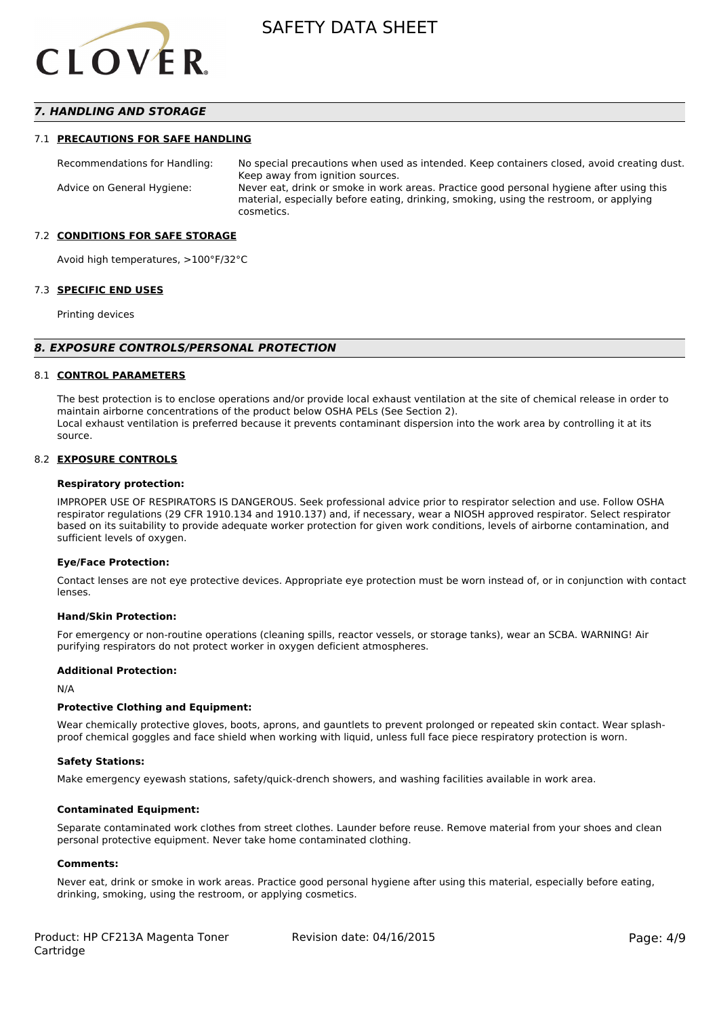

## *7. HANDLING AND STORAGE*

#### 7.1 **PRECAUTIONS FOR SAFE HANDLING**

Recommendations for Handling: No special precautions when used as intended. Keep containers closed, avoid creating dust. Keep away from ignition sources. Advice on General Hygiene: Never eat, drink or smoke in work areas. Practice good personal hygiene after using this material, especially before eating, drinking, smoking, using the restroom, or applying cosmetics.

#### 7.2 **CONDITIONS FOR SAFE STORAGE**

Avoid high temperatures, >100°F/32°C

#### 7.3 **SPECIFIC END USES**

Printing devices

#### *8. EXPOSURE CONTROLS/PERSONAL PROTECTION*

#### 8.1 **CONTROL PARAMETERS**

The best protection is to enclose operations and/or provide local exhaust ventilation at the site of chemical release in order to maintain airborne concentrations of the product below OSHA PELs (See Section 2). Local exhaust ventilation is preferred because it prevents contaminant dispersion into the work area by controlling it at its source.

#### 8.2 **EXPOSURE CONTROLS**

#### **Respiratory protection:**

IMPROPER USE OF RESPIRATORS IS DANGEROUS. Seek professional advice prior to respirator selection and use. Follow OSHA respirator regulations (29 CFR 1910.134 and 1910.137) and, if necessary, wear a NIOSH approved respirator. Select respirator based on its suitability to provide adequate worker protection for given work conditions, levels of airborne contamination, and sufficient levels of oxygen.

#### **Eye/Face Protection:**

Contact lenses are not eye protective devices. Appropriate eye protection must be worn instead of, or in conjunction with contact lenses.

#### **Hand/Skin Protection:**

For emergency or non-routine operations (cleaning spills, reactor vessels, or storage tanks), wear an SCBA. WARNING! Air purifying respirators do not protect worker in oxygen deficient atmospheres.

### **Additional Protection:**

N/A

#### **Protective Clothing and Equipment:**

Wear chemically protective gloves, boots, aprons, and gauntlets to prevent prolonged or repeated skin contact. Wear splashproof chemical goggles and face shield when working with liquid, unless full face piece respiratory protection is worn.

#### **Safety Stations:**

Make emergency eyewash stations, safety/quick-drench showers, and washing facilities available in work area.

#### **Contaminated Equipment:**

Separate contaminated work clothes from street clothes. Launder before reuse. Remove material from your shoes and clean personal protective equipment. Never take home contaminated clothing.

#### **Comments:**

Never eat, drink or smoke in work areas. Practice good personal hygiene after using this material, especially before eating, drinking, smoking, using the restroom, or applying cosmetics.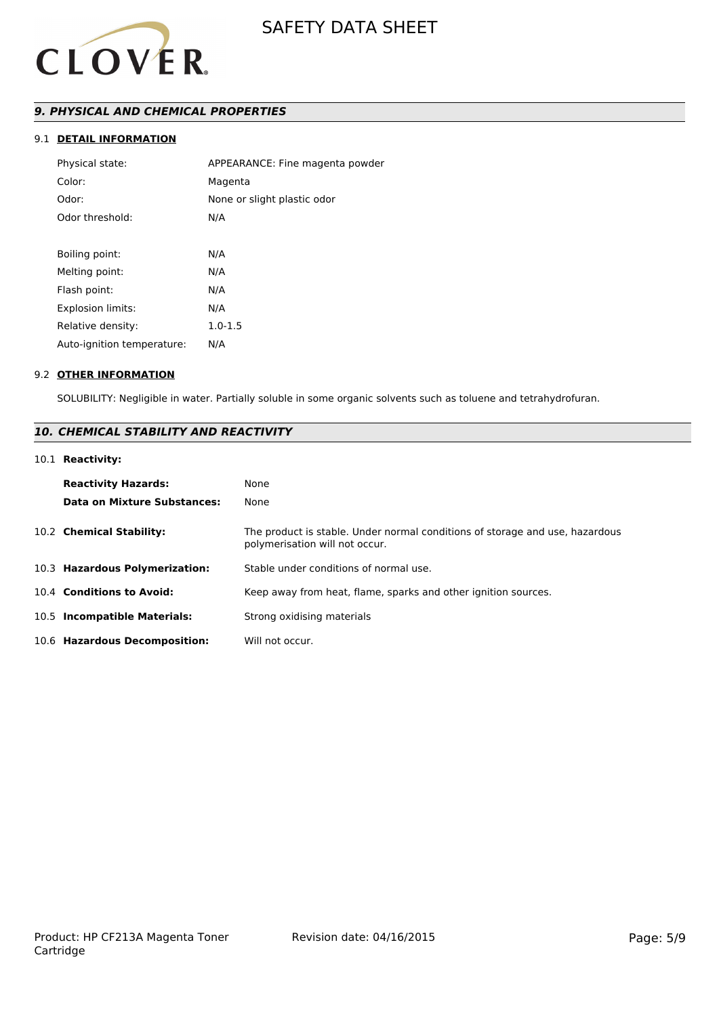

# *9. PHYSICAL AND CHEMICAL PROPERTIES*

# 9.1 **DETAIL INFORMATION**

| Physical state:            | APPEARANCE: Fine magenta powder |
|----------------------------|---------------------------------|
| Color:                     | Magenta                         |
| Odor:                      | None or slight plastic odor     |
| Odor threshold:            | N/A                             |
|                            |                                 |
| Boiling point:             | N/A                             |
| Melting point:             | N/A                             |
| Flash point:               | N/A                             |
| <b>Explosion limits:</b>   | N/A                             |
| Relative density:          | $1.0 - 1.5$                     |
| Auto-ignition temperature: | N/A                             |
|                            |                                 |

#### 9.2 **OTHER INFORMATION**

SOLUBILITY: Negligible in water. Partially soluble in some organic solvents such as toluene and tetrahydrofuran.

# *10. CHEMICAL STABILITY AND REACTIVITY*

#### 10.1 **Reactivity:**

| <b>Reactivity Hazards:</b><br>Data on Mixture Substances: | None<br>None                                                                                                   |
|-----------------------------------------------------------|----------------------------------------------------------------------------------------------------------------|
| 10.2 Chemical Stability:                                  | The product is stable. Under normal conditions of storage and use, hazardous<br>polymerisation will not occur. |
| 10.3 Hazardous Polymerization:                            | Stable under conditions of normal use.                                                                         |
| 10.4 Conditions to Avoid:                                 | Keep away from heat, flame, sparks and other ignition sources.                                                 |
| 10.5 Incompatible Materials:                              | Strong oxidising materials                                                                                     |
| 10.6 Hazardous Decomposition:                             | Will not occur.                                                                                                |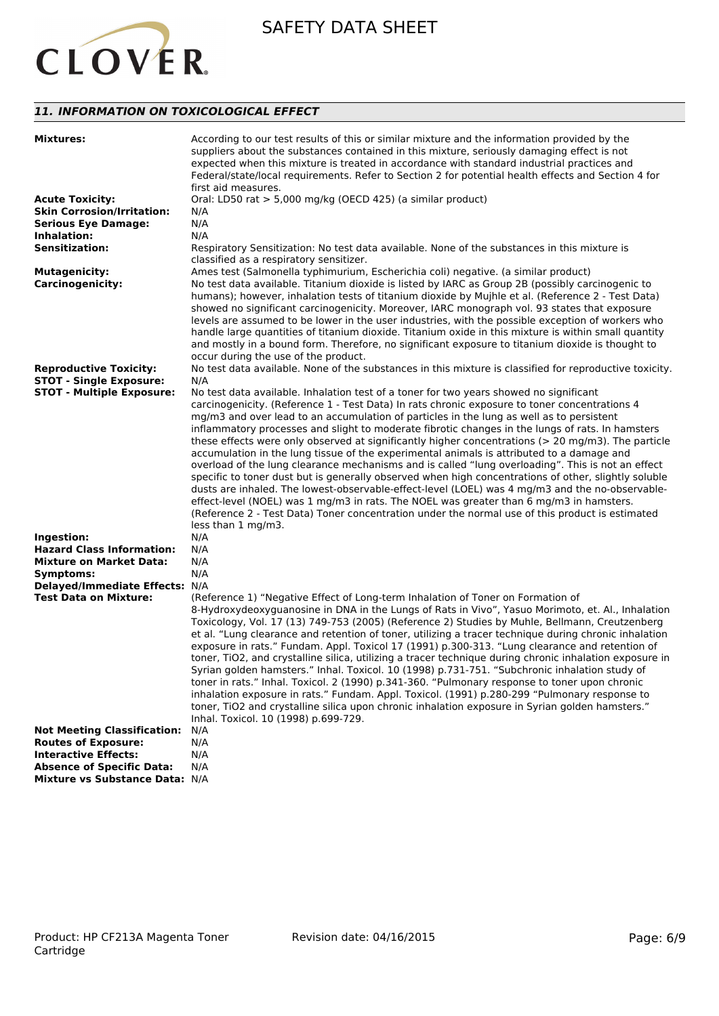

# *11. INFORMATION ON TOXICOLOGICAL EFFECT*

| <b>Mixtures:</b>                   | According to our test results of this or similar mixture and the information provided by the<br>suppliers about the substances contained in this mixture, seriously damaging effect is not<br>expected when this mixture is treated in accordance with standard industrial practices and<br>Federal/state/local requirements. Refer to Section 2 for potential health effects and Section 4 for<br>first aid measures.                                                                                                                                                                                                                                         |
|------------------------------------|----------------------------------------------------------------------------------------------------------------------------------------------------------------------------------------------------------------------------------------------------------------------------------------------------------------------------------------------------------------------------------------------------------------------------------------------------------------------------------------------------------------------------------------------------------------------------------------------------------------------------------------------------------------|
| <b>Acute Toxicity:</b>             | Oral: LD50 rat > 5,000 mg/kg (OECD 425) (a similar product)                                                                                                                                                                                                                                                                                                                                                                                                                                                                                                                                                                                                    |
| <b>Skin Corrosion/Irritation:</b>  | N/A                                                                                                                                                                                                                                                                                                                                                                                                                                                                                                                                                                                                                                                            |
| <b>Serious Eye Damage:</b>         | N/A                                                                                                                                                                                                                                                                                                                                                                                                                                                                                                                                                                                                                                                            |
| Inhalation:                        | N/A                                                                                                                                                                                                                                                                                                                                                                                                                                                                                                                                                                                                                                                            |
| <b>Sensitization:</b>              | Respiratory Sensitization: No test data available. None of the substances in this mixture is                                                                                                                                                                                                                                                                                                                                                                                                                                                                                                                                                                   |
|                                    | classified as a respiratory sensitizer.                                                                                                                                                                                                                                                                                                                                                                                                                                                                                                                                                                                                                        |
| <b>Mutagenicity:</b>               | Ames test (Salmonella typhimurium, Escherichia coli) negative. (a similar product)                                                                                                                                                                                                                                                                                                                                                                                                                                                                                                                                                                             |
| <b>Carcinogenicity:</b>            | No test data available. Titanium dioxide is listed by IARC as Group 2B (possibly carcinogenic to<br>humans); however, inhalation tests of titanium dioxide by Mujhle et al. (Reference 2 - Test Data)<br>showed no significant carcinogenicity. Moreover, IARC monograph vol. 93 states that exposure<br>levels are assumed to be lower in the user industries, with the possible exception of workers who<br>handle large quantities of titanium dioxide. Titanium oxide in this mixture is within small quantity<br>and mostly in a bound form. Therefore, no significant exposure to titanium dioxide is thought to<br>occur during the use of the product. |
| <b>Reproductive Toxicity:</b>      | No test data available. None of the substances in this mixture is classified for reproductive toxicity.                                                                                                                                                                                                                                                                                                                                                                                                                                                                                                                                                        |
| <b>STOT - Single Exposure:</b>     | N/A                                                                                                                                                                                                                                                                                                                                                                                                                                                                                                                                                                                                                                                            |
| <b>STOT - Multiple Exposure:</b>   | No test data available. Inhalation test of a toner for two years showed no significant                                                                                                                                                                                                                                                                                                                                                                                                                                                                                                                                                                         |
|                                    | carcinogenicity. (Reference 1 - Test Data) In rats chronic exposure to toner concentrations 4                                                                                                                                                                                                                                                                                                                                                                                                                                                                                                                                                                  |
|                                    | mg/m3 and over lead to an accumulation of particles in the lung as well as to persistent                                                                                                                                                                                                                                                                                                                                                                                                                                                                                                                                                                       |
|                                    | inflammatory processes and slight to moderate fibrotic changes in the lungs of rats. In hamsters                                                                                                                                                                                                                                                                                                                                                                                                                                                                                                                                                               |
|                                    | these effects were only observed at significantly higher concentrations ( $> 20$ mg/m3). The particle                                                                                                                                                                                                                                                                                                                                                                                                                                                                                                                                                          |
|                                    | accumulation in the lung tissue of the experimental animals is attributed to a damage and                                                                                                                                                                                                                                                                                                                                                                                                                                                                                                                                                                      |
|                                    | overload of the lung clearance mechanisms and is called "lung overloading". This is not an effect                                                                                                                                                                                                                                                                                                                                                                                                                                                                                                                                                              |
|                                    | specific to toner dust but is generally observed when high concentrations of other, slightly soluble                                                                                                                                                                                                                                                                                                                                                                                                                                                                                                                                                           |
|                                    | dusts are inhaled. The lowest-observable-effect-level (LOEL) was 4 mg/m3 and the no-observable-                                                                                                                                                                                                                                                                                                                                                                                                                                                                                                                                                                |
|                                    | effect-level (NOEL) was 1 mg/m3 in rats. The NOEL was greater than 6 mg/m3 in hamsters.                                                                                                                                                                                                                                                                                                                                                                                                                                                                                                                                                                        |
|                                    | (Reference 2 - Test Data) Toner concentration under the normal use of this product is estimated                                                                                                                                                                                                                                                                                                                                                                                                                                                                                                                                                                |
|                                    | less than 1 mg/m3.                                                                                                                                                                                                                                                                                                                                                                                                                                                                                                                                                                                                                                             |
| Ingestion:                         | N/A                                                                                                                                                                                                                                                                                                                                                                                                                                                                                                                                                                                                                                                            |
| <b>Hazard Class Information:</b>   | N/A                                                                                                                                                                                                                                                                                                                                                                                                                                                                                                                                                                                                                                                            |
| <b>Mixture on Market Data:</b>     | N/A                                                                                                                                                                                                                                                                                                                                                                                                                                                                                                                                                                                                                                                            |
|                                    |                                                                                                                                                                                                                                                                                                                                                                                                                                                                                                                                                                                                                                                                |
| Symptoms:                          | N/A                                                                                                                                                                                                                                                                                                                                                                                                                                                                                                                                                                                                                                                            |
| Delayed/Immediate Effects: N/A     |                                                                                                                                                                                                                                                                                                                                                                                                                                                                                                                                                                                                                                                                |
| <b>Test Data on Mixture:</b>       | (Reference 1) "Negative Effect of Long-term Inhalation of Toner on Formation of                                                                                                                                                                                                                                                                                                                                                                                                                                                                                                                                                                                |
|                                    | 8-Hydroxydeoxyguanosine in DNA in the Lungs of Rats in Vivo", Yasuo Morimoto, et. Al., Inhalation                                                                                                                                                                                                                                                                                                                                                                                                                                                                                                                                                              |
|                                    | Toxicology, Vol. 17 (13) 749-753 (2005) (Reference 2) Studies by Muhle, Bellmann, Creutzenberg                                                                                                                                                                                                                                                                                                                                                                                                                                                                                                                                                                 |
|                                    | et al. "Lung clearance and retention of toner, utilizing a tracer technique during chronic inhalation                                                                                                                                                                                                                                                                                                                                                                                                                                                                                                                                                          |
|                                    | exposure in rats." Fundam. Appl. Toxicol 17 (1991) p.300-313. "Lung clearance and retention of                                                                                                                                                                                                                                                                                                                                                                                                                                                                                                                                                                 |
|                                    | toner, TiO2, and crystalline silica, utilizing a tracer technique during chronic inhalation exposure in                                                                                                                                                                                                                                                                                                                                                                                                                                                                                                                                                        |
|                                    | Syrian golden hamsters." Inhal. Toxicol. 10 (1998) p.731-751. "Subchronic inhalation study of                                                                                                                                                                                                                                                                                                                                                                                                                                                                                                                                                                  |
|                                    | toner in rats." Inhal. Toxicol. 2 (1990) p.341-360. "Pulmonary response to toner upon chronic                                                                                                                                                                                                                                                                                                                                                                                                                                                                                                                                                                  |
|                                    | inhalation exposure in rats." Fundam. Appl. Toxicol. (1991) p.280-299 "Pulmonary response to                                                                                                                                                                                                                                                                                                                                                                                                                                                                                                                                                                   |
|                                    | toner, TiO2 and crystalline silica upon chronic inhalation exposure in Syrian golden hamsters."                                                                                                                                                                                                                                                                                                                                                                                                                                                                                                                                                                |
|                                    | Inhal. Toxicol. 10 (1998) p.699-729.                                                                                                                                                                                                                                                                                                                                                                                                                                                                                                                                                                                                                           |
| <b>Not Meeting Classification:</b> | N/A                                                                                                                                                                                                                                                                                                                                                                                                                                                                                                                                                                                                                                                            |
| <b>Routes of Exposure:</b>         | N/A                                                                                                                                                                                                                                                                                                                                                                                                                                                                                                                                                                                                                                                            |
| <b>Interactive Effects:</b>        | N/A                                                                                                                                                                                                                                                                                                                                                                                                                                                                                                                                                                                                                                                            |
| <b>Absence of Specific Data:</b>   | N/A                                                                                                                                                                                                                                                                                                                                                                                                                                                                                                                                                                                                                                                            |
| Mixture vs Substance Data: N/A     |                                                                                                                                                                                                                                                                                                                                                                                                                                                                                                                                                                                                                                                                |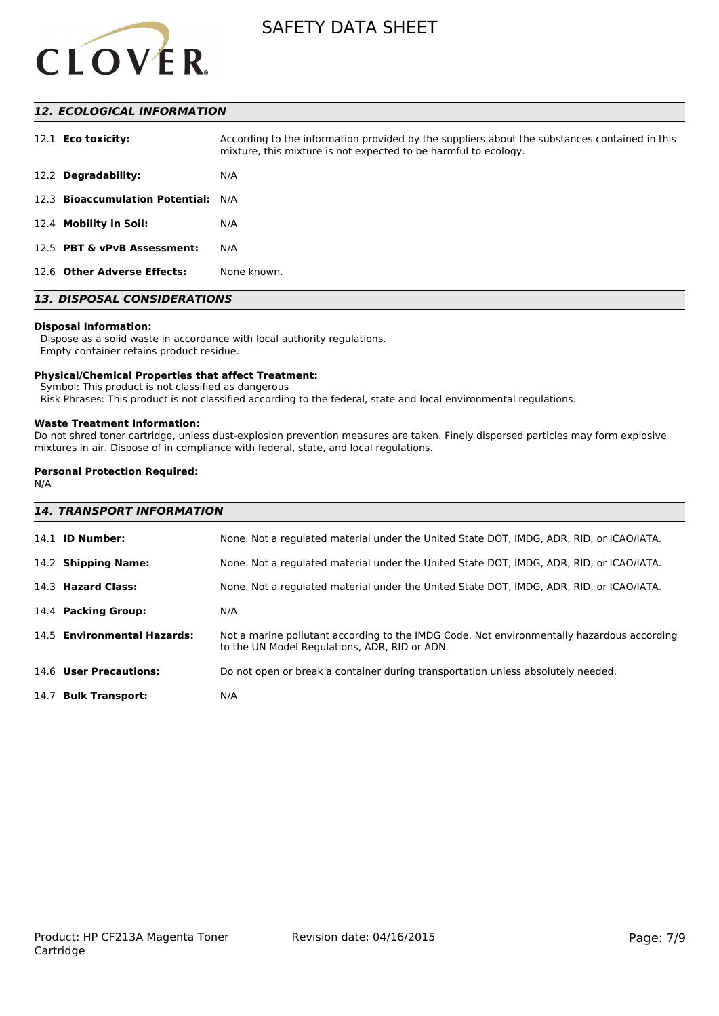

# *12. ECOLOGICAL INFORMATION*

| 12.1 <b>Eco toxicity:</b>           | According to the information provided by the suppliers about the substances contained in this<br>mixture, this mixture is not expected to be harmful to ecology. |
|-------------------------------------|------------------------------------------------------------------------------------------------------------------------------------------------------------------|
| 12.2 Degradability:                 | N/A                                                                                                                                                              |
| 12.3 Bioaccumulation Potential: N/A |                                                                                                                                                                  |
| 12.4 Mobility in Soil:              | N/A                                                                                                                                                              |
| 12.5 PBT & vPvB Assessment:         | N/A                                                                                                                                                              |
| 12.6 Other Adverse Effects:         | None known.                                                                                                                                                      |

# *13. DISPOSAL CONSIDERATIONS*

#### **Disposal Information:**

 Dispose as a solid waste in accordance with local authority regulations. Empty container retains product residue.

#### **Physical/Chemical Properties that affect Treatment:**

Symbol: This product is not classified as dangerous

Risk Phrases: This product is not classified according to the federal, state and local environmental regulations.

#### **Waste Treatment Information:**

Do not shred toner cartridge, unless dust-explosion prevention measures are taken. Finely dispersed particles may form explosive mixtures in air. Dispose of in compliance with federal, state, and local regulations.

## **Personal Protection Required:**

N/A

| <b>14. TRANSPORT INFORMATION</b> |                                                                                                                                             |  |
|----------------------------------|---------------------------------------------------------------------------------------------------------------------------------------------|--|
| 14.1 <b>ID Number:</b>           | None. Not a regulated material under the United State DOT, IMDG, ADR, RID, or ICAO/IATA.                                                    |  |
| 14.2 Shipping Name:              | None. Not a regulated material under the United State DOT, IMDG, ADR, RID, or ICAO/IATA.                                                    |  |
| 14.3 Hazard Class:               | None. Not a regulated material under the United State DOT, IMDG, ADR, RID, or ICAO/IATA.                                                    |  |
| 14.4 Packing Group:              | N/A                                                                                                                                         |  |
| 14.5 Environmental Hazards:      | Not a marine pollutant according to the IMDG Code. Not environmentally hazardous according<br>to the UN Model Regulations, ADR, RID or ADN. |  |
| 14.6 User Precautions:           | Do not open or break a container during transportation unless absolutely needed.                                                            |  |
| 14.7 Bulk Transport:             | N/A                                                                                                                                         |  |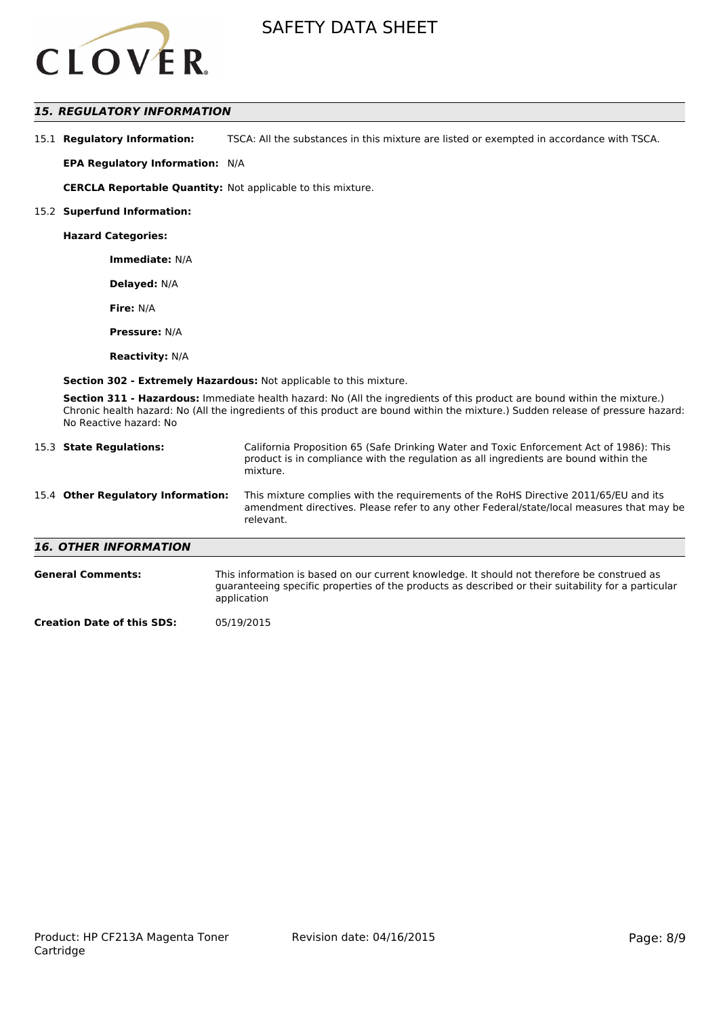

# *15. REGULATORY INFORMATION*

15.1 **Regulatory Information:** TSCA: All the substances in this mixture are listed or exempted in accordance with TSCA.

**EPA Regulatory Information:** N/A

**CERCLA Reportable Quantity:** Not applicable to this mixture.

#### 15.2 **Superfund Information:**

**Hazard Categories:**

**Immediate:** N/A

**Delayed:** N/A

**Fire:** N/A

**Pressure:** N/A

**Reactivity:** N/A

**Section 302 - Extremely Hazardous:** Not applicable to this mixture.

**Section 311 - Hazardous:** Immediate health hazard: No (All the ingredients of this product are bound within the mixture.) Chronic health hazard: No (All the ingredients of this product are bound within the mixture.) Sudden release of pressure hazard: No Reactive hazard: No

| 15.3 State Regulations:            | California Proposition 65 (Safe Drinking Water and Toxic Enforcement Act of 1986): This<br>product is in compliance with the regulation as all ingredients are bound within the<br>mixture.   |  |
|------------------------------------|-----------------------------------------------------------------------------------------------------------------------------------------------------------------------------------------------|--|
| 15.4 Other Regulatory Information: | This mixture complies with the requirements of the RoHS Directive 2011/65/EU and its<br>amendment directives. Please refer to any other Federal/state/local measures that may be<br>relevant. |  |
| <b>16. OTHER INFORMATION</b>       |                                                                                                                                                                                               |  |
| <b>General Comments:</b>           | This information is based on our current knowledge. It should not therefore be construed as                                                                                                   |  |

guaranteeing specific properties of the products as described or their suitability for a particular application

**Creation Date of this SDS:** 05/19/2015